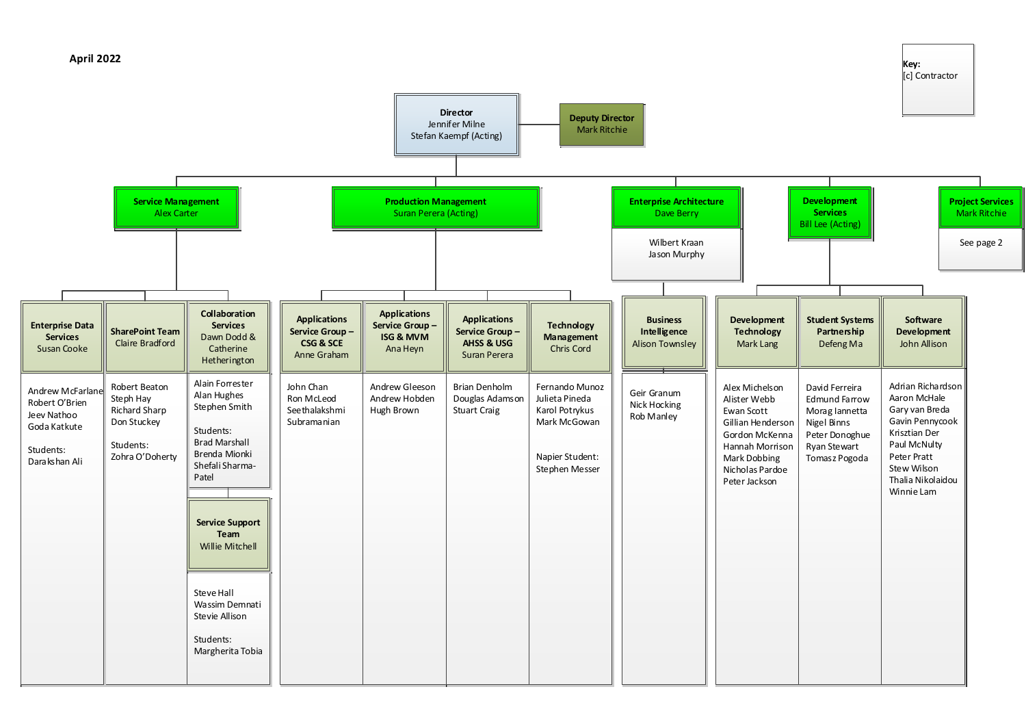